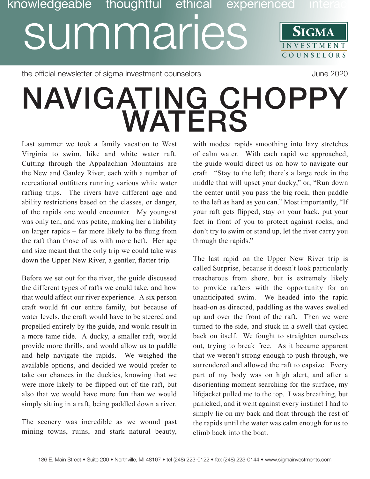## **SIGMA** Discription of the UMINICS SIGMA<br>SUMMARIES SIGMA **COUNSE L O R S** knowledgeable thoughtful ethical

the official newsletter of sigma investment counselors and the state of 2020 June 2020

## NAVIGATING CHOPPY WATERS

Last summer we took a family vacation to West Virginia to swim, hike and white water raft. Cutting through the Appalachian Mountains are the New and Gauley River, each with a number of recreational outfitters running various white water rafting trips. The rivers have different age and ability restrictions based on the classes, or danger, of the rapids one would encounter. My youngest was only ten, and was petite, making her a liability on larger rapids – far more likely to be flung from the raft than those of us with more heft. Her age and size meant that the only trip we could take was down the Upper New River, a gentler, flatter trip.

Before we set out for the river, the guide discussed the different types of rafts we could take, and how that would affect our river experience. A six person craft would fit our entire family, but because of water levels, the craft would have to be steered and propelled entirely by the guide, and would result in a more tame ride. A ducky, a smaller raft, would provide more thrills, and would allow us to paddle and help navigate the rapids. We weighed the available options, and decided we would prefer to take our chances in the duckies, knowing that we were more likely to be flipped out of the raft, but also that we would have more fun than we would simply sitting in a raft, being paddled down a river.

The scenery was incredible as we wound past mining towns, ruins, and stark natural beauty,

with modest rapids smoothing into lazy stretches of calm water. With each rapid we approached, the guide would direct us on how to navigate our craft. "Stay to the left; there's a large rock in the middle that will upset your ducky," or, "Run down the center until you pass the big rock, then paddle to the left as hard as you can." Most importantly, "If your raft gets flipped, stay on your back, put your feet in front of you to protect against rocks, and don't try to swim or stand up, let the river carry you through the rapids."

The last rapid on the Upper New River trip is called Surprise, because it doesn't look particularly treacherous from shore, but is extremely likely to provide rafters with the opportunity for an unanticipated swim. We headed into the rapid head-on as directed, paddling as the waves swelled up and over the front of the raft. Then we were turned to the side, and stuck in a swell that cycled back on itself. We fought to straighten ourselves out, trying to break free. As it became apparent that we weren't strong enough to push through, we surrendered and allowed the raft to capsize. Every part of my body was on high alert, and after a disorienting moment searching for the surface, my lifejacket pulled me to the top. I was breathing, but panicked, and it went against every instinct I had to simply lie on my back and float through the rest of the rapids until the water was calm enough for us to climb back into the boat.